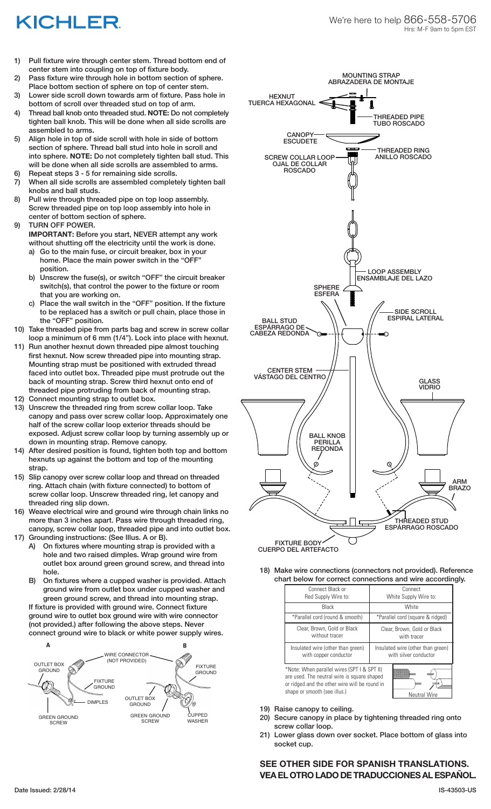## KICHLER

- 1) Pull fixture wire through center stem. Thread bottom end of center stem into coupling on top of fixture body.
- 2) Pass fixture wire through hole in bottom section of sphere. Place bottom section of sphere on top of center stem.
- 3) Lower side scroll down towards arm of fixture. Pass hole in bottom of scroll over threaded stud on top of arm.
- 4) Thread ball knob onto threaded stud. **NOTE:** Do not completely tighten ball knob. This will be done when all side scrolls are assembled to arms.
- 5) Align hole in top of side scroll with hole in side of bottom section of sphere. Thread ball stud into hole in scroll and into sphere. **NOTE:** Do not completely tighten ball stud. This will be done when all side scrolls are assembled to arms.
- 6) Repeat steps 3 5 for remaining side scrolls.
- 7) When all side scrolls are assembled completely tighten ball knobs and ball studs.
- 8) Pull wire through threaded pipe on top loop assembly. Screw threaded pipe on top loop assembly into hole in center of bottom section of sphere.
- 9) TURN OFF POWER.

**IMPORTANT:** Before you start, NEVER attempt any work without shutting off the electricity until the work is done.

- a) Go to the main fuse, or circuit breaker, box in your home. Place the main power switch in the "OFF" position.
- b) Unscrew the fuse(s), or switch "OFF" the circuit breaker switch(s), that control the power to the fixture or room that you are working on.
- c) Place the wall switch in the "OFF" position. If the fixture to be replaced has a switch or pull chain, place those in the "OFF" position.
- 10) Take threaded pipe from parts bag and screw in screw collar loop a minimum of 6 mm (1/4"). Lock into place with hexnut.
- 11) Run another hexnut down threaded pipe almost touching first hexnut. Now screw threaded pipe into mounting strap. Mounting strap must be positioned with extruded thread faced into outlet box. Threaded pipe must protrude out the back of mounting strap. Screw third hexnut onto end of threaded pipe protruding from back of mounting strap.
- 12) Connect mounting strap to outlet box.
- 13) Unscrew the threaded ring from screw collar loop. Take canopy and pass over screw collar loop. Approximately one half of the screw collar loop exterior threads should be exposed. Adjust screw collar loop by turning assembly up or down in mounting strap. Remove canopy.
- 14) After desired position is found, tighten both top and bottom hexnuts up against the bottom and top of the mounting strap.
- 15) Slip canopy over screw collar loop and thread on threaded ring. Attach chain (with fixture connected) to bottom of screw collar loop. Unscrew threaded ring, let canopy and threaded ring slip down.
- 16) Weave electrical wire and ground wire through chain links no more than 3 inches apart. Pass wire through threaded ring, canopy, screw collar loop, threaded pipe and into outlet box.
- 17) Grounding instructions: (See Illus. A or B).
	- A) On fixtures where mounting strap is provided with a hole and two raised dimples. Wrap ground wire from outlet box around green ground screw, and thread into hole.
	- B) On fixtures where a cupped washer is provided. Attach ground wire from outlet box under cupped washer and green ground screw, and thread into mounting strap.

If fixture is provided with ground wire. Connect fixture ground wire to outlet box ground wire with wire connector (not provided.) after following the above steps. Never connect ground wire to black or white power supply wires.





FIXTURE BODY CUERPO DEL ARTEFACTO

18) Make wire connections (connectors not provided). Reference chart below for correct connections and wire accordingly.

| Connect Black or<br>Red Supply Wire to:                                                                                                                                                            | Connect<br>White Supply Wire to:                           |
|----------------------------------------------------------------------------------------------------------------------------------------------------------------------------------------------------|------------------------------------------------------------|
| Black                                                                                                                                                                                              | White                                                      |
| *Parallel cord (round & smooth)                                                                                                                                                                    | *Parallel cord (square & ridged)                           |
| Clear, Brown, Gold or Black<br>without tracer                                                                                                                                                      | Clear, Brown, Gold or Black<br>with tracer                 |
| Insulated wire (other than green)<br>with copper conductor                                                                                                                                         | Insulated wire (other than green)<br>with silver conductor |
| *Note: When parallel wires (SPT I & SPT II)<br>are used. The neutral wire is square shaped<br>or ridged and the other wire will be round in<br>shape or smooth (see illus.)<br><b>Neutral Wire</b> |                                                            |

- 19) Raise canopy to ceiling.
- 20) Secure canopy in place by tightening threaded ring onto screw collar loop.
- 21) Lower glass down over socket. Place bottom of glass into socket cup.

## **SEE OTHER SIDE FOR SPANISH TRANSLATIONS. VEA EL OTRO LADO DE TRADUCCIONES AL ESPAÑOL.**